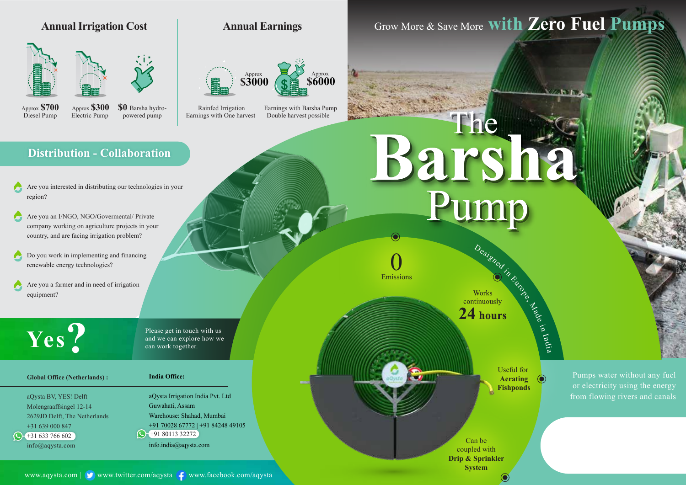## **Annual Irrigation Cost Annual Earnings**





Approx **\$700** Diesel Pump

Approx **\$300** Electric Pump

**\$0** Barsha hydropowered pump

Rainfed Irrigation Earnings with One harvest

 Earnings with Barsha Pump Double harvest possible

Approx **\$6000**

Approx **\$3000**

**Distribution - Collaboration**

- A Are you interested in distributing our technologies in your region?
- A Are you an I/NGO, NGO/Govermental/ Private company working on agriculture projects in your country, and are facing irrigation problem?
- Do you work in implementing and financing A renewable energy technologies?
- A Are you a farmer and in need of irrigation equipment?



**Global Office (Netherlands) :**

aQysta BV, YES! Delft Molengraaffsingel 12-14 2629JD Delft, The Netherlands +31 639 000 847 131 633 766 602 info@aqysta.com

Please get in touch with us and we can explore how we can work together.

## **India Office:**

aQysta Irrigation India Pvt. Ltd Guwahati, Assam Warehouse: Shahad, Mumbai +91 70028 67772 | +91 84248 49105 info.india@aqysta.com +91 80113 32272

## The Barsh Pump

0 Emissions

Designed in Europe 24 hours

> Useful for **Aerating Fishponds**

, Ashe

Grow More & Save More **with Zero Fuel Pumps**

 $\breve{\mathbf{z}}$ 

G

India

Pumps water without any fuel or electricity using the energy from flowing rivers and canals

Can be coupled with **Drip & Sprinkler System**

## www.aqysta.com | www.twitter.com/aqysta | www.facebook.com/aqysta